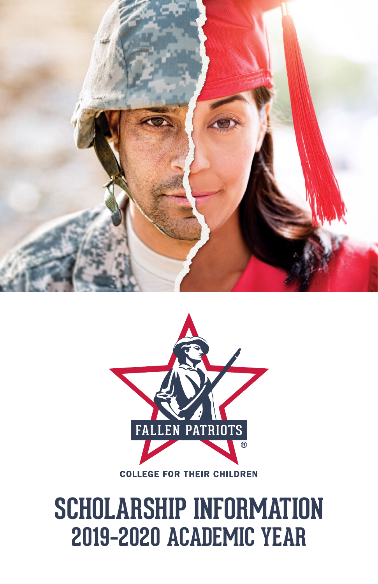



#### **COLLEGE FOR THEIR CHILDREN**

## **SCHOLARSHIP INFORMATION 2019–2020 ACADEMIC YEAR**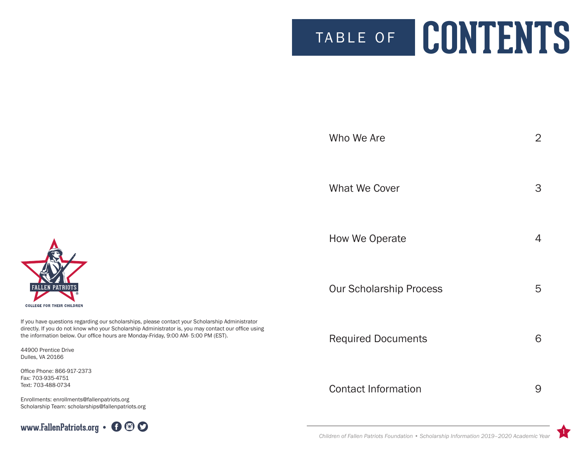# TABLE OF **CONTENTS**

| Who We Are                     | $\overline{2}$ |
|--------------------------------|----------------|
| <b>What We Cover</b>           | 3              |
| How We Operate                 | 4              |
| <b>Our Scholarship Process</b> | 5              |
| <b>Required Documents</b>      | 6              |
| <b>Contact Information</b>     | 9              |
|                                |                |



If you have question directly. If you do no the information be

44900 Prentice Dr Dulles, VA 20166

Office Phone: 866-Fax: 703-935-4751 Text: 703-488-0734

Enrollments: enroll Scholarship Team:



**1**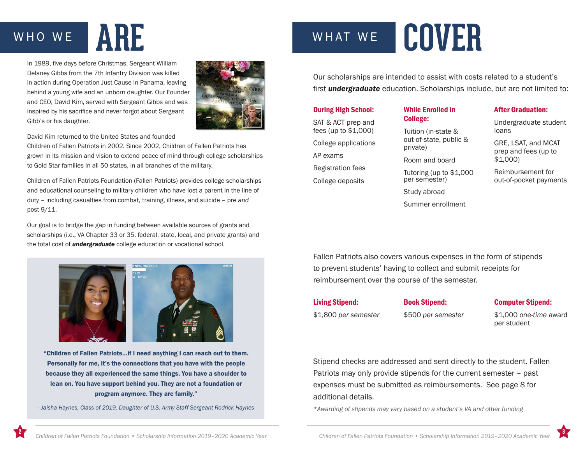In 1989, five days before Christmas, Sergeant William Delaney Gibbs from the 7th Infantry Division was killed in action during Operation Just Cause in Panama, leaving behind a young wife and an unborn daughter. Our Founder and CEO, David Kim, served with Sergeant Gibbs and was inspired by his sacrifice and never forgot about Sergeant Gibb's or his daughter.



David Kim returned to the United States and founded

Children of Fallen Patriots in 2002. Since 2002, Children of Fallen Patriots has grown in its mission and vision to extend peace of mind through college scholarships to Gold Star families in all 50 states, in all branches of the military.

Children of Fallen Patriots Foundation (Fallen Patriots) provides college scholarships and educational counseling to military children who have lost a parent in the line of duty – including casualties from combat, training, illness, and suicide – pre *and* post 9/11.

Our goal is to bridge the gap in funding between available sources of grants and scholarships (i.e., VA Chapter 33 or 35, federal, state, local, and private grants) and the total cost of *undergraduate* college education or vocational school.



"Children of Fallen Patriots…if I need anything I can reach out to them. Personally for me, it's the connections that you have with the people because they all experienced the same things. You have a shoulder to lean on. You have support behind you. They are not a foundation or program anymore. They are family."

*- Jaisha Haynes, Class of 2019, Daughter of U.S. Army Staff Sergeant Rodrick Haynes*

## WHO WE **ARE** WHAT WE **COVER**

Our scholarships are intended to assist with costs related to a student's first *undergraduate* education. Scholarships include, but are not limited to:

#### During High School:

SAT & ACT prep and fees (up to \$1,000) College applications AP exams Registration fees

College deposits

While Enrolled in College:

Tuition (in-state & out-of-state, public & private) Room and board Tutoring (up to \$1,000

per semester)

Summer enrollment

Study abroad

#### After Graduation:

Undergraduate student loans

GRE, LSAT, and MCAT prep and fees (up to \$1,000)

Reimbursement for out-of-pocket payments

Fallen Patriots also covers various expenses in the form of stipends to prevent students' having to collect and submit receipts for reimbursement over the course of the semester.

#### Living Stipend:

Book Stipend:

Computer Stipend:

\$1,800 *per semester*

\$500 *per semester*

\$1,000 *one-time* award per student

Stipend checks are addressed and sent directly to the student. Fallen Patriots may only provide stipends for the current semester – past expenses must be submitted as reimbursements. See page 8 for additional details.

*\*Awarding of stipends may vary based on a student's VA and other funding*

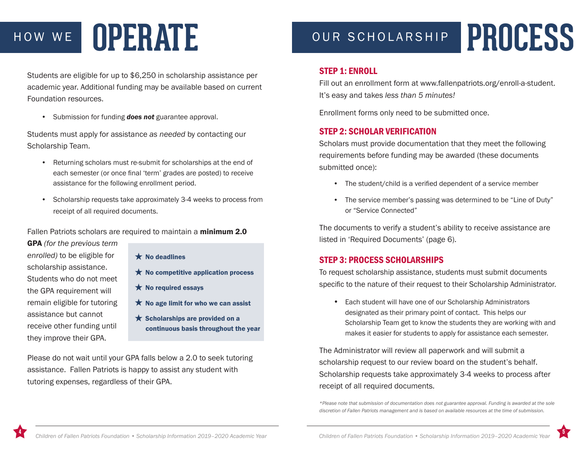## HOW WE OUR SCHOLARSHIP **OPERATE PROCESS**

Students are eligible for up to \$6,250 in scholarship assistance per academic year. Additional funding may be available based on current Foundation resources.

• Submission for funding *does not* guarantee approval.

Students must apply for assistance *as needed* by contacting our Scholarship Team.

- Returning scholars must re-submit for scholarships at the end of each semester (or once final 'term' grades are posted) to receive assistance for the following enrollment period.
- Scholarship requests take approximately 3-4 weeks to process from receipt of all required documents.

Fallen Patriots scholars are required to maintain a minimum 2.0

GPA *(for the previous term enrolled)* to be eligible for scholarship assistance. Students who do not meet the GPA requirement will remain eligible for tutoring assistance but cannot receive other funding until they improve their GPA.

- $\bigstar$  No deadlines
- $\star$  No competitive application process
- $\bigstar$  No required essays
- $\bigstar$  No age limit for who we can assist
- $\star$  Scholarships are provided on a continuous basis throughout the year

Please do not wait until your GPA falls below a 2.0 to seek tutoring assistance. Fallen Patriots is happy to assist any student with tutoring expenses, regardless of their GPA.

#### STEP 1: ENROLL

Fill out an enrollment form at www.fallenpatriots.org/enroll-a-student. It's easy and takes *less than 5 minutes!*

Enrollment forms only need to be submitted once.

### STEP 2: SCHOLAR VERIFICATION

Scholars must provide documentation that they meet the following requirements before funding may be awarded (these documents submitted once):

- The student/child is a verified dependent of a service member
- The service member's passing was determined to be "Line of Duty" or "Service Connected"

The documents to verify a student's ability to receive assistance are listed in 'Required Documents' (page 6).

#### STEP 3: PROCESS SCHOLARSHIPS

To request scholarship assistance, students must submit documents specific to the nature of their request to their Scholarship Administrator.

• Each student will have one of our Scholarship Administrators designated as their primary point of contact. This helps our Scholarship Team get to know the students they are working with and makes it easier for students to apply for assistance each semester.

The Administrator will review all paperwork and will submit a scholarship request to our review board on the student's behalf. Scholarship requests take approximately 3-4 weeks to process after receipt of all required documents.

*\*Please note that submission of documentation does not guarantee approval. Funding is awarded at the sole discretion of Fallen Patriots management and is based on available resources at the time of submission.*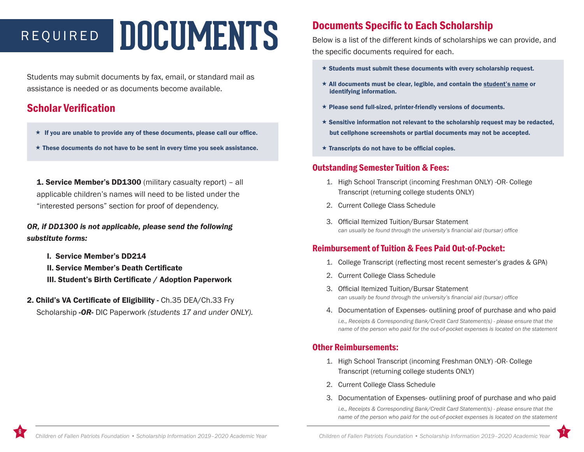# REQUIRED **DOCUMENTS**

Students may submit documents by fax, email, or standard mail as assistance is needed or as documents become available.

### Scholar Verification

- $\star$  If you are unable to provide any of these documents, please call our office.
- $\star$  These documents do not have to be sent in every time you seek assistance.

**1. Service Member's DD1300** (military casualty report) – all applicable children's names will need to be listed under the "interested persons" section for proof of dependency.

#### *OR, if DD1300 is not applicable, please send the following substitute forms:*

- I. Service Member's DD214
- II. Service Member's Death Certificate
- III. Student's Birth Certificate / Adoption Paperwork
- 2. Child's VA Certificate of Eligibility Ch.35 DEA/Ch.33 Fry Scholarship *-OR-* DIC Paperwork *(students 17 and under ONLY).*

### Documents Specific to Each Scholarship

Below is a list of the different kinds of scholarships we can provide, and the specific documents required for each.

- $\star$  Students must submit these documents with every scholarship request.
- $\star$  All documents must be clear, legible, and contain the student's name or identifying information.
- $\star$  Please send full-sized, printer-friendly versions of documents.
- $\star$  Sensitive information not relevant to the scholarship request may be redacted, but cellphone screenshots or partial documents may not be accepted.
- $\star$  Transcripts do not have to be official copies.

#### Outstanding Semester Tuition & Fees:

- 1. High School Transcript (incoming Freshman ONLY) -OR- College Transcript (returning college students ONLY)
- 2. Current College Class Schedule
- 3. Official Itemized Tuition/Bursar Statement *can usually be found through the university's financial aid (bursar) office*

#### Reimbursement of Tuition & Fees Paid Out-of-Pocket:

- 1. College Transcript (reflecting most recent semester's grades & GPA)
- 2. Current College Class Schedule
- 3. Official Itemized Tuition/Bursar Statement *can usually be found through the university's financial aid (bursar) office*
- 4. Documentation of Expenses- outlining proof of purchase and who paid

*i.e., Receipts & Corresponding Bank/Credit Card Statement(s) - please ensure that the name of the person who paid for the out-of-pocket expenses is located on the statement*

#### Other Reimbursements:

- 1. High School Transcript (incoming Freshman ONLY) -OR- College Transcript (returning college students ONLY)
- 2. Current College Class Schedule
- 3. Documentation of Expenses- outlining proof of purchase and who paid

*i.e., Receipts & Corresponding Bank/Credit Card Statement(s) - please ensure that the name of the person who paid for the out-of-pocket expenses is located on the statement*

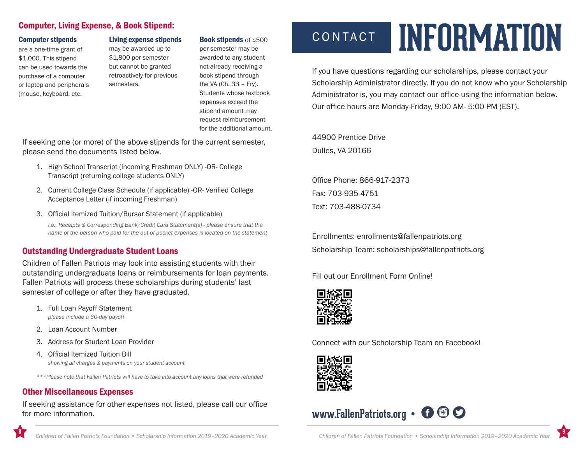### Computer, Living Expense, & Book Stipend:

#### Computer stipends

are a one-time grant of \$1,000. This stipend can be used towards the purchase of a computer or laptop and peripherals (mouse, keyboard, etc.

Living expense stipends may be awarded up to \$1,800 per semester but cannot be granted retroactively for previous semesters.

#### Book stipends of \$500

per semester may be awarded to any student not already receiving a book stipend through the VA (Ch. 33 – Fry). Students whose textbook expenses exceed the stipend amount may request reimbursement for the additional amount.

If seeking one (or more) of the above stipends for the current semester, please send the documents listed below.

- 1. High School Transcript (incoming Freshman ONLY) -OR- College Transcript (returning college students ONLY)
- 2. Current College Class Schedule (if applicable) -OR- Verified College Acceptance Letter (if incoming Freshman)
- 3. Official Itemized Tuition/Bursar Statement (if applicable)

*i.e., Receipts & Corresponding Bank/Credit Card Statement(s) - please ensure that the name of the person who paid for the out-of-pocket expenses is located on the statement*

#### Outstanding Undergraduate Student Loans

Children of Fallen Patriots may look into assisting students with their outstanding undergraduate loans or reimbursements for loan payments. Fallen Patriots will process these scholarships during students' last semester of college or after they have graduated.

1. Full Loan Payoff Statement

*please include a 30-day payoff*

- 2. Loan Account Number
- 3. Address for Student Loan Provider
- 4. Official Itemized Tuition Bill *showing all charges & payments on your student account*

*\*\*\*Please note that Fallen Patriots will have to take into account any loans that were refunded*

#### Other Miscellaneous Expenses

If seeking assistance for other expenses not listed, please call our office for more information.

## CONTACT **INFORMATION**

If you have questions regarding our scholarships, please contact your Scholarship Administrator directly. If you do not know who your Scholarship Administrator is, you may contact our office using the information below. Our office hours are Monday-Friday, 9:00 AM- 5:00 PM (EST).

44900 Prentice Drive Dulles, VA 20166

Office Phone: 866-917-2373 Fax: 703-935-4751 Text: 703-488-0734

Enrollments: enrollments@fallenpatriots.org Scholarship Team: scholarships@fallenpatriots.org

Fill out our Enrollment Form Online!



Connect with our Scholarship Team on Facebook!



### www.FallenPatriots.org • **f**